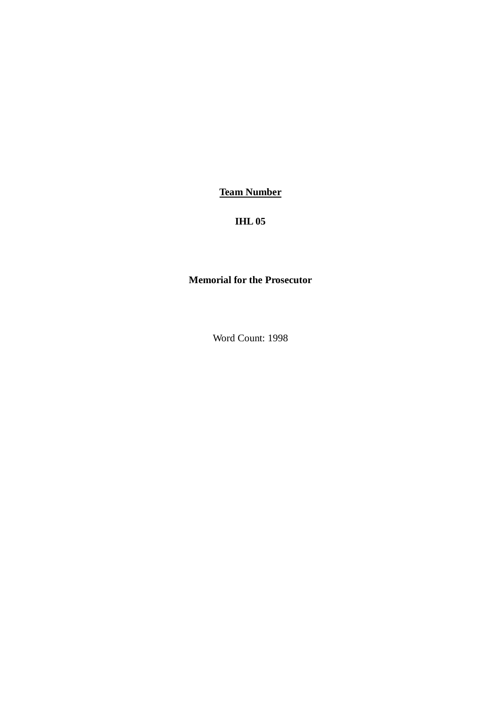**Team Number**

**IHL 05**

# **Memorial for the Prosecutor**

Word Count: 1998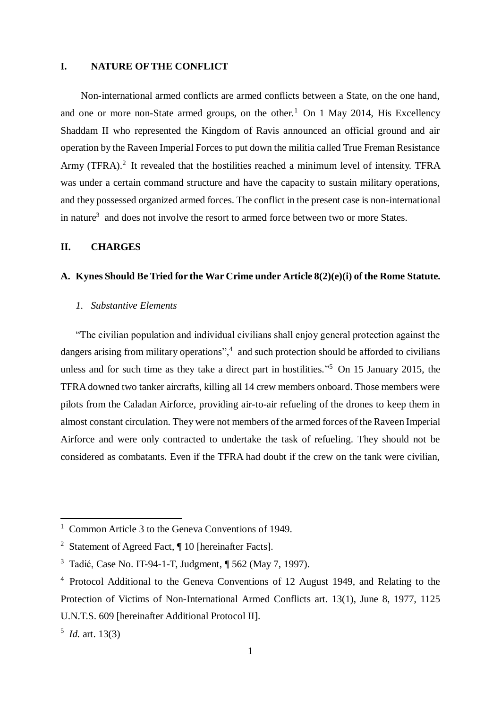# **I. NATURE OF THE CONFLICT**

Non-international armed conflicts are armed conflicts between a State, on the one hand, and one or more non-State armed groups, on the other.<sup>1</sup> On 1 May 2014, His Excellency Shaddam II who represented the Kingdom of Ravis announced an official ground and air operation by the Raveen Imperial Forces to put down the militia called True Freman Resistance Army (TFRA).<sup>2</sup> It revealed that the hostilities reached a minimum level of intensity. TFRA was under a certain command structure and have the capacity to sustain military operations, and they possessed organized armed forces. The conflict in the present case is non-international in nature<sup>3</sup> and does not involve the resort to armed force between two or more States.

# **II. CHARGES**

# **A. Kynes Should Be Tried for the War Crime under Article 8(2)(e)(i) of the Rome Statute.**

# <span id="page-1-0"></span>*1. Substantive Elements*

"The civilian population and individual civilians shall enjoy general protection against the dangers arising from military operations",<sup>4</sup> and such protection should be afforded to civilians unless and for such time as they take a direct part in hostilities."<sup>5</sup> On 15 January 2015, the TFRA downed two tanker aircrafts, killing all 14 crew members onboard. Those members were pilots from the Caladan Airforce, providing air-to-air refueling of the drones to keep them in almost constant circulation. They were not members of the armed forces of the Raveen Imperial Airforce and were only contracted to undertake the task of refueling. They should not be considered as combatants. Even if the TFRA had doubt if the crew on the tank were civilian,

<sup>&</sup>lt;sup>1</sup> Common Article 3 to the Geneva Conventions of 1949.

<sup>2</sup> Statement of Agreed Fact, ¶ 10 [hereinafter Facts].

<sup>3</sup> Tadić, Case No. IT-94-1-T, Judgment, ¶ 562 (May 7, 1997).

<sup>4</sup> Protocol Additional to the Geneva Conventions of 12 August 1949, and Relating to the Protection of Victims of Non-International Armed Conflicts art. 13(1), June 8, 1977, 1125 U.N.T.S. 609 [hereinafter Additional Protocol II].

<sup>5</sup> *Id.* art. 13(3)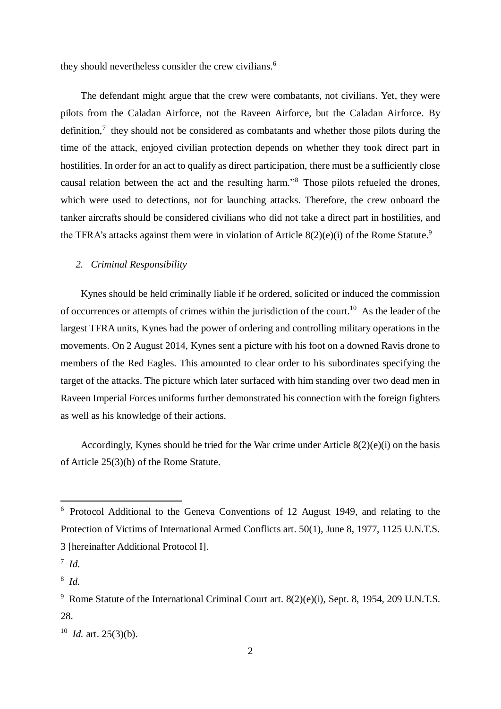<span id="page-2-0"></span>they should nevertheless consider the crew civilians.<sup>6</sup>

The defendant might argue that the crew were combatants, not civilians. Yet, they were pilots from the Caladan Airforce, not the Raveen Airforce, but the Caladan Airforce. By definition, $\frac{7}{1}$  they should not be considered as combatants and whether those pilots during the time of the attack, enjoyed civilian protection depends on whether they took direct part in hostilities. In order for an act to qualify as direct participation, there must be a sufficiently close causal relation between the act and the resulting harm."<sup>8</sup> Those pilots refueled the drones, which were used to detections, not for launching attacks. Therefore, the crew onboard the tanker aircrafts should be considered civilians who did not take a direct part in hostilities, and the TFRA's attacks against them were in violation of Article  $8(2)(e)(i)$  of the Rome Statute.<sup>9</sup>

### *2. Criminal Responsibility*

Kynes should be held criminally liable if he ordered, solicited or induced the commission of occurrences or attempts of crimes within the jurisdiction of the court.<sup>10</sup> As the leader of the largest TFRA units, Kynes had the power of ordering and controlling military operations in the movements. On 2 August 2014, Kynes sent a picture with his foot on a downed Ravis drone to members of the Red Eagles. This amounted to clear order to his subordinates specifying the target of the attacks. The picture which later surfaced with him standing over two dead men in Raveen Imperial Forces uniforms further demonstrated his connection with the foreign fighters as well as his knowledge of their actions.

Accordingly, Kynes should be tried for the War crime under Article  $8(2)(e)(i)$  on the basis of Article 25(3)(b) of the Rome Statute.

<sup>6</sup> Protocol Additional to the Geneva Conventions of 12 August 1949, and relating to the Protection of Victims of International Armed Conflicts art. 50(1), June 8, 1977, 1125 U.N.T.S. 3 [hereinafter Additional Protocol I].

<sup>7</sup> *Id.*

<sup>8</sup> *Id.*

<sup>&</sup>lt;sup>9</sup> Rome Statute of the International Criminal Court art. 8(2)(e)(i), Sept. 8, 1954, 209 U.N.T.S. 28.

 $10$  *Id.* art. 25(3)(b).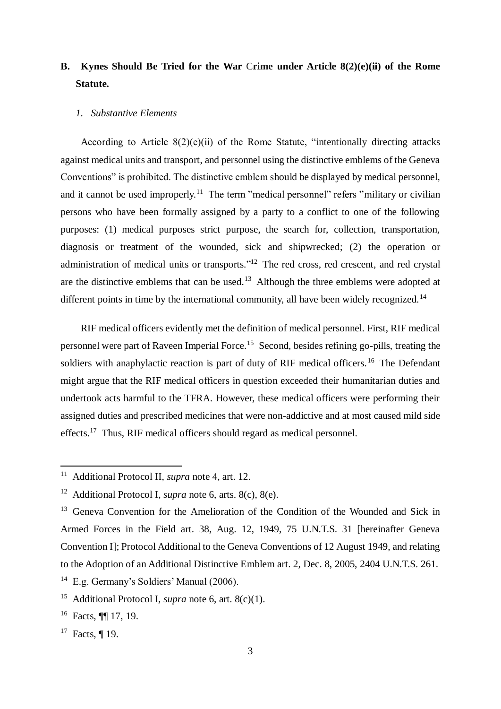# **B. Kynes Should Be Tried for the War** C**rime under Article 8(2)(e)(ii) of the Rome Statute.**

#### *1. Substantive Elements*

According to Article  $8(2)(e)(ii)$  of the Rome Statute, "intentionally directing attacks against medical units and transport, and personnel using the distinctive emblems of the Geneva Conventions" is prohibited. The distinctive emblem should be displayed by medical personnel, and it cannot be used improperly.<sup>11</sup> The term "medical personnel" refers "military or civilian persons who have been formally assigned by a party to a conflict to one of the following purposes: (1) medical purposes strict purpose, the search for, collection, transportation, diagnosis or treatment of the wounded, sick and shipwrecked; (2) the operation or administration of medical units or transports."<sup>12</sup> The red cross, red crescent, and red crystal are the distinctive emblems that can be used.<sup>13</sup> Although the three emblems were adopted at different points in time by the international community, all have been widely recognized.<sup>14</sup>

RIF medical officers evidently met the definition of medical personnel. First, RIF medical personnel were part of Raveen Imperial Force.<sup>15</sup> Second, besides refining go-pills, treating the soldiers with anaphylactic reaction is part of duty of RIF medical officers.<sup>16</sup> The Defendant might argue that the RIF medical officers in question exceeded their humanitarian duties and undertook acts harmful to the TFRA. However, these medical officers were performing their assigned duties and prescribed medicines that were non-addictive and at most caused mild side effects.<sup>17</sup> Thus, RIF medical officers should regard as medical personnel.

<sup>11</sup> Additional Protocol II, *supra* note [4,](#page-1-0) art. 12.

<sup>12</sup> Additional Protocol I, *supra* note [6,](#page-2-0) arts. 8(c), 8(e).

 $13$  Geneva Convention for the Amelioration of the Condition of the Wounded and Sick in Armed Forces in the Field art. 38, Aug. 12, 1949, 75 U.N.T.S. 31 [hereinafter Geneva Convention I]; Protocol Additional to the Geneva Conventions of 12 August 1949, and relating to the Adoption of an Additional Distinctive Emblem art. 2, Dec. 8, 2005, 2404 U.N.T.S. 261.

<sup>14</sup> E.g. Germany's Soldiers' Manual (2006).

<sup>15</sup> Additional Protocol I, *supra* note [6,](#page-2-0) art. 8(c)(1).

<sup>16</sup> Facts, ¶¶ 17, 19.

<sup>&</sup>lt;sup>17</sup> Facts, ¶ 19.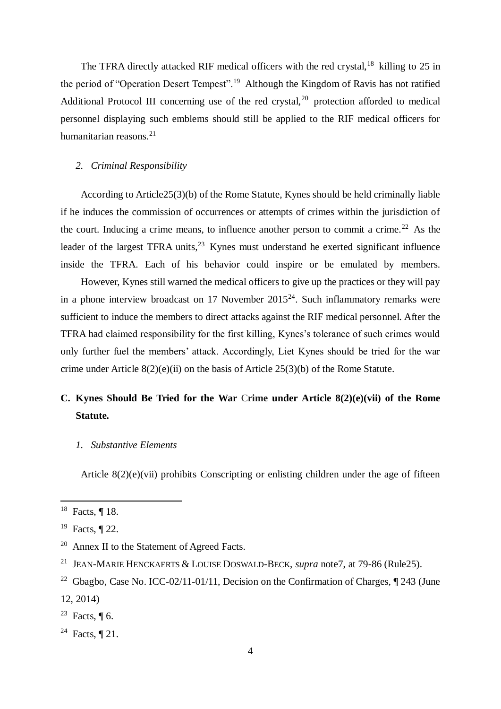The TFRA directly attacked RIF medical officers with the red crystal,<sup>18</sup> killing to 25 in the period of "Operation Desert Tempest".<sup>19</sup> Although the Kingdom of Ravis has not ratified Additional Protocol III concerning use of the red crystal,<sup>20</sup> protection afforded to medical personnel displaying such emblems should still be applied to the RIF medical officers for humanitarian reasons.<sup>21</sup>

#### *2. Criminal Responsibility*

According to Article25(3)(b) of the Rome Statute, Kynes should be held criminally liable if he induces the commission of occurrences or attempts of crimes within the jurisdiction of the court. Inducing a crime means, to influence another person to commit a crime.<sup>22</sup> As the leader of the largest TFRA units,  $23$  Kynes must understand he exerted significant influence inside the TFRA. Each of his behavior could inspire or be emulated by members.

However, Kynes still warned the medical officers to give up the practices or they will pay in a phone interview broadcast on 17 November  $2015<sup>24</sup>$ . Such inflammatory remarks were sufficient to induce the members to direct attacks against the RIF medical personnel. After the TFRA had claimed responsibility for the first killing, Kynes's tolerance of such crimes would only further fuel the members' attack. Accordingly, Liet Kynes should be tried for the war crime under Article 8(2)(e)(ii) on the basis of Article 25(3)(b) of the Rome Statute.

# **C. Kynes Should Be Tried for the War** C**rime under Article 8(2)(e)(vii) of the Rome Statute.**

## *1. Substantive Elements*

Article 8(2)(e)(vii) prohibits Conscripting or enlisting children under the age of fifteen

<sup>18</sup> Facts, ¶ 18.

<sup>19</sup> Facts, ¶ 22.

<sup>20</sup> Annex II to the Statement of Agreed Facts.

<sup>21</sup> JEAN-MARIE HENCKAERTS & LOUISE DOSWALD-BECK, *supra* note7, at 79-86 (Rule25).

<sup>&</sup>lt;sup>22</sup> Gbagbo, Case No. ICC-02/11-01/11, Decision on the Confirmation of Charges,  $\P$  243 (June 12, 2014)

<sup>&</sup>lt;sup>23</sup> Facts,  $\P$  6.

<sup>&</sup>lt;sup>24</sup> Facts,  $\P$  21.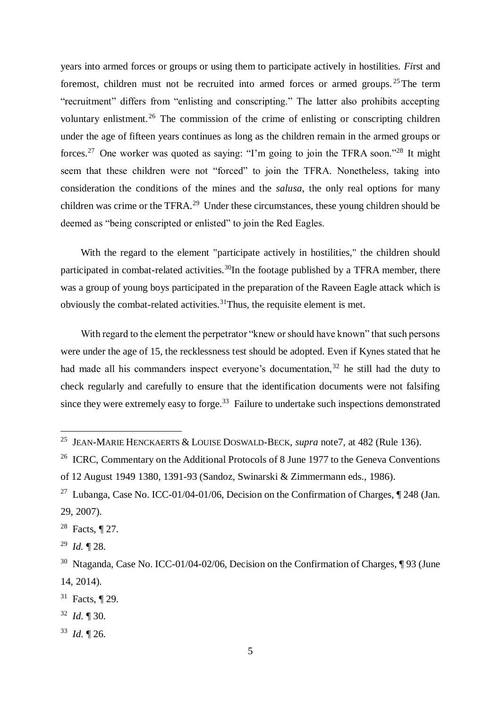years into armed forces or groups or using them to participate actively in hostilities. *Fi*rst and foremost, children must not be recruited into armed forces or armed groups.<sup>25</sup>The term "recruitment" differs from "enlisting and conscripting." The latter also prohibits accepting voluntary enlistment.<sup>26</sup> The commission of the crime of enlisting or conscripting children under the age of fifteen years continues as long as the children remain in the armed groups or forces.<sup>27</sup> One worker was quoted as saying: "I'm going to join the TFRA soon."<sup>28</sup> It might seem that these children were not "forced" to join the TFRA. Nonetheless, taking into consideration the conditions of the mines and the *salusa*, the only real options for many children was crime or the TFRA.<sup>29</sup> Under these circumstances, these young children should be deemed as "being conscripted or enlisted" to join the Red Eagles.

With the regard to the element "participate actively in hostilities," the children should participated in combat-related activities.<sup>30</sup>In the footage published by a TFRA member, there was a group of young boys participated in the preparation of the Raveen Eagle attack which is obviously the combat-related activities.<sup>31</sup>Thus, the requisite element is met.

With regard to the element the perpetrator "knew or should have known" that such persons were under the age of 15, the recklessness test should be adopted. Even if Kynes stated that he had made all his commanders inspect everyone's documentation,  $32$  he still had the duty to check regularly and carefully to ensure that the identification documents were not falsifing since they were extremely easy to forge.<sup>33</sup> Failure to undertake such inspections demonstrated

<sup>28</sup> Facts, ¶ 27.

<sup>29</sup> *Id.* ¶ 28.

- <sup>32</sup> *Id.* ¶ 30.
- <sup>33</sup> *Id.* ¶ 26.

<sup>25</sup> JEAN-MARIE HENCKAERTS & LOUISE DOSWALD-BECK, *supra* note7, at 482 (Rule 136).

<sup>&</sup>lt;sup>26</sup> ICRC, Commentary on the Additional Protocols of 8 June 1977 to the Geneva Conventions of 12 August 1949 1380, 1391-93 (Sandoz, Swinarski & Zimmermann eds., 1986).

<sup>&</sup>lt;sup>27</sup> Lubanga, Case No. ICC-01/04-01/06, Decision on the Confirmation of Charges,  $\P$  248 (Jan. 29, 2007).

<sup>30</sup> Ntaganda, Case No. ICC-01/04-02/06, Decision on the Confirmation of Charges, ¶ 93 (June 14, 2014).

<sup>31</sup> Facts, ¶ 29.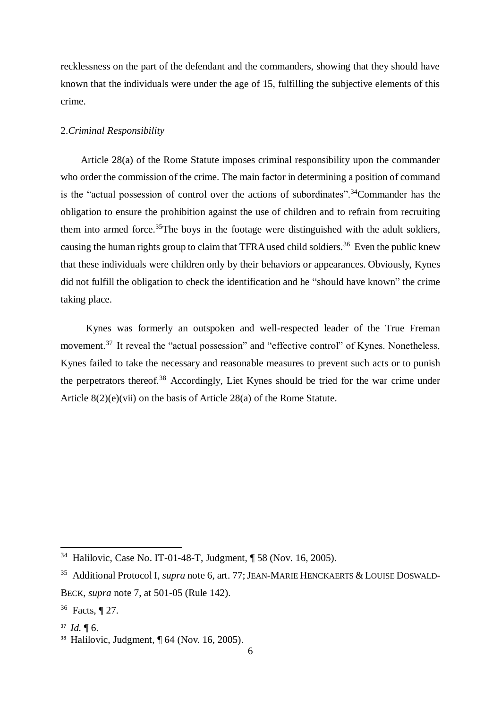recklessness on the part of the defendant and the commanders, showing that they should have known that the individuals were under the age of 15, fulfilling the subjective elements of this crime.

## 2.*Criminal Responsibility*

 Article 28(a) of the Rome Statute imposes criminal responsibility upon the commander who order the commission of the crime. The main factor in determining a position of command is the "actual possession of control over the actions of subordinates".<sup>34</sup>Commander has the obligation to ensure the prohibition against the use of children and to refrain from recruiting them into armed force.<sup>35</sup>The boys in the footage were distinguished with the adult soldiers, causing the human rights group to claim that TFRA used child soldiers.<sup>36</sup> Even the public knew that these individuals were children only by their behaviors or appearances. Obviously, Kynes did not fulfill the obligation to check the identification and he "should have known" the crime taking place.

 Kynes was formerly an outspoken and well-respected leader of the True Freman movement.<sup>37</sup> It reveal the "actual possession" and "effective control" of Kynes. Nonetheless, Kynes failed to take the necessary and reasonable measures to prevent such acts or to punish the perpetrators thereof.<sup>38</sup> Accordingly, Liet Kynes should be tried for the war crime under Article 8(2)(e)(vii) on the basis of Article 28(a) of the Rome Statute.

<sup>34</sup> Halilovic, Case No. IT-01-48-T, Judgment, ¶ 58 (Nov. 16, 2005).

<sup>&</sup>lt;sup>35</sup> Additional Protocol I, *supra* note [6,](#page-2-0) art. 77; JEAN-MARIE HENCKAERTS & LOUISE DOSWALD-BECK, *supra* note 7, at 501-05 (Rule 142).

<sup>36</sup> Facts, ¶ 27.

<sup>37</sup> *Id.* ¶ 6.

<sup>38</sup> Halilovic, Judgment, ¶ 64 (Nov. 16, 2005).